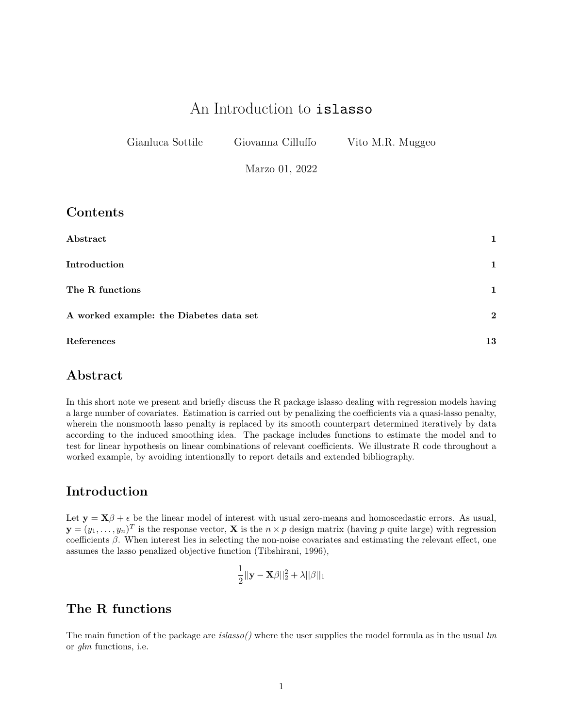# An Introduction to islasso

| Gianluca Sottile | Giovanna Cilluffo | Vito M.R. Muggeo |  |
|------------------|-------------------|------------------|--|
|                  | Marzo 01, 2022    |                  |  |

**Contents**

| Abstract                                | $\mathbf{1}$ |
|-----------------------------------------|--------------|
| Introduction                            | $\mathbf{1}$ |
| The R functions                         | $\mathbf{1}$ |
| A worked example: the Diabetes data set | $\mathbf{2}$ |
| References                              | 13           |

## <span id="page-0-0"></span>**Abstract**

In this short note we present and briefly discuss the R package islasso dealing with regression models having a large number of covariates. Estimation is carried out by penalizing the coefficients via a quasi-lasso penalty, wherein the nonsmooth lasso penalty is replaced by its smooth counterpart determined iteratively by data according to the induced smoothing idea. The package includes functions to estimate the model and to test for linear hypothesis on linear combinations of relevant coefficients. We illustrate R code throughout a worked example, by avoiding intentionally to report details and extended bibliography.

### <span id="page-0-1"></span>**Introduction**

Let  $\mathbf{y} = \mathbf{X}\beta + \epsilon$  be the linear model of interest with usual zero-means and homoscedastic errors. As usual,  $\mathbf{y} = (y_1, \ldots, y_n)^T$  is the response vector, **X** is the  $n \times p$  design matrix (having *p* quite large) with regression coefficients *β*. When interest lies in selecting the non-noise covariates and estimating the relevant effect, one assumes the lasso penalized objective function (Tibshirani, 1996),

$$
\frac{1}{2}||\mathbf{y}-\mathbf{X}\boldsymbol{\beta}||_2^2 + \lambda ||\boldsymbol{\beta}||_1
$$

## <span id="page-0-2"></span>**The R functions**

The main function of the package are *islasso()* where the user supplies the model formula as in the usual *lm* or *glm* functions, i.e.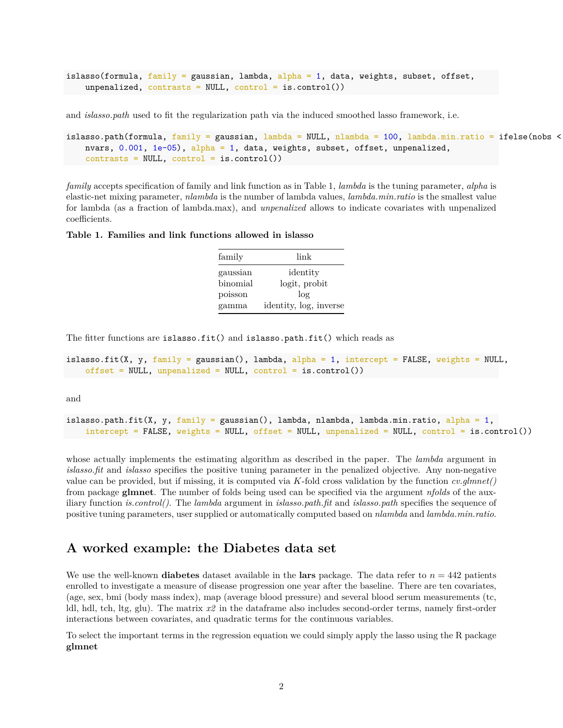```
islasso(formula, family = gaussian, lambda, \alphalpha = 1, data, weights, subset, offset,
    unpenalized, contrasts = NULL, control = is.control())
```
and *islasso.path* used to fit the regularization path via the induced smoothed lasso framework, i.e.

```
islasso.path(formula, family = gaussian, lambda = NULL, nlambda = 100, lambda.min.ratio = ifelse(nobs <
   nvars, 0.001, 1e-05), alpha = 1, data, weights, subset, offset, unpenalized,
   contrast = NULL, control = is.control()
```
*family* accepts specification of family and link function as in Table 1, *lambda* is the tuning parameter, *alpha* is elastic-net mixing parameter, *nlambda* is the number of lambda values, *lambda.min.ratio* is the smallest value for lambda (as a fraction of lambda.max), and *unpenalized* allows to indicate covariates with unpenalized coefficients.

#### **Table 1. Families and link functions allowed in islasso**

| family   | link                   |  |  |
|----------|------------------------|--|--|
| gaussian | identity               |  |  |
| binomial | logit, probit          |  |  |
| poisson  | $\log$                 |  |  |
| gamma    | identity, log, inverse |  |  |

The fitter functions are islasso.fit() and islasso.path.fit() which reads as

```
islasso.fit(X, y, family = gaussian(), lambda, alpha = 1, intercept = FALSE, weights = NULL,
    offset = NULL, unpenalized = NULL, control = is.control())
```
and

```
islasso.path.fit(X, y, family = gaussian(), lambda, nlambda, lambda.min.ratio, alpha = 1,
    intercept = FALSE, weights = NULL, offset = NULL, unpenalized = NULL, control = is.control())
```
whose actually implements the estimating algorithm as described in the paper. The *lambda* argument in *islasso.fit* and *islasso* specifies the positive tuning parameter in the penalized objective. Any non-negative value can be provided, but if missing, it is computed via *K*-fold cross validation by the function *cv.glmnet()* from package **glmnet**. The number of folds being used can be specified via the argument *nfolds* of the auxiliary function *is.control()*. The *lambda* argument in *islasso.path.fit* and *islasso.path* specifies the sequence of positive tuning parameters, user supplied or automatically computed based on *nlambda* and *lambda.min.ratio*.

### <span id="page-1-0"></span>**A worked example: the Diabetes data set**

We use the well-known **diabetes** dataset available in the **lars** package. The data refer to  $n = 442$  patients enrolled to investigate a measure of disease progression one year after the baseline. There are ten covariates, (age, sex, bmi (body mass index), map (average blood pressure) and several blood serum measurements (tc, ldl, hdl, tch, ltg, glu). The matrix *x2* in the dataframe also includes second-order terms, namely first-order interactions between covariates, and quadratic terms for the continuous variables.

To select the important terms in the regression equation we could simply apply the lasso using the R package **glmnet**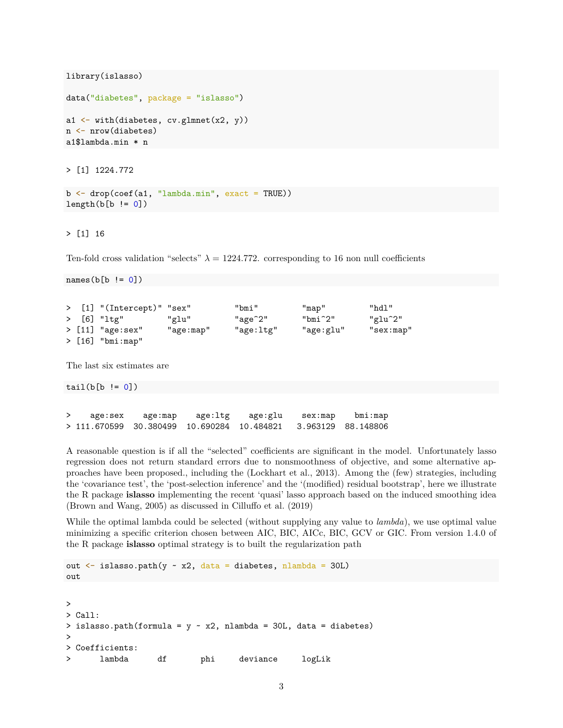library(islasso)

```
data("diabetes", package = "islasso")
```

```
a1 \leftarrow with(diabetes, cv.glmnet(x2, y))
n <- nrow(diabetes)
a1$lambda.min * n
```
> [1] 1224.772

```
b \leftarrow drop(coef(a1, "lambda.min", exact = TRUE))length(b[b := 0])
```
> [1] 16

Ten-fold cross validation "selects"  $\lambda = 1224.772$ . corresponding to 16 non null coefficients

```
names(b[b != 0])> [1] "(Intercept)" "sex" "bmi" "map" "hdl"
> [6] "ltg" "glu" "age^2" "bmi^2" "glu^2"
> [11] "age:sex" "age:map" "age:ltg" "age:glu" "sex:map"
> [16] "bmi:map"
The last six estimates are
```
 $tail(b[b != 0])$ 

> age:sex age:map age:ltg age:glu sex:map bmi:map > 111.670599 30.380499 10.690284 10.484821 3.963129 88.148806

A reasonable question is if all the "selected" coefficients are significant in the model. Unfortunately lasso regression does not return standard errors due to nonsmoothness of objective, and some alternative approaches have been proposed., including the (Lockhart et al., 2013). Among the (few) strategies, including the 'covariance test', the 'post-selection inference' and the '(modified) residual bootstrap', here we illustrate the R package **islasso** implementing the recent 'quasi' lasso approach based on the induced smoothing idea (Brown and Wang, 2005) as discussed in Cilluffo et al. (2019)

While the optimal lambda could be selected (without supplying any value to *lambda*), we use optimal value minimizing a specific criterion chosen between AIC, BIC, AICc, BIC, GCV or GIC. From version 1.4.0 of the R package **islasso** optimal strategy is to built the regularization path

```
out \leq islasso.path(y \sim x2, data = diabetes, nlambda = 30L)
out
>
> Call:
> islasso.path(formula = y \sim x2, nlambda = 30L, data = diabetes)
>
> Coefficients:
> lambda df phi deviance logLik
```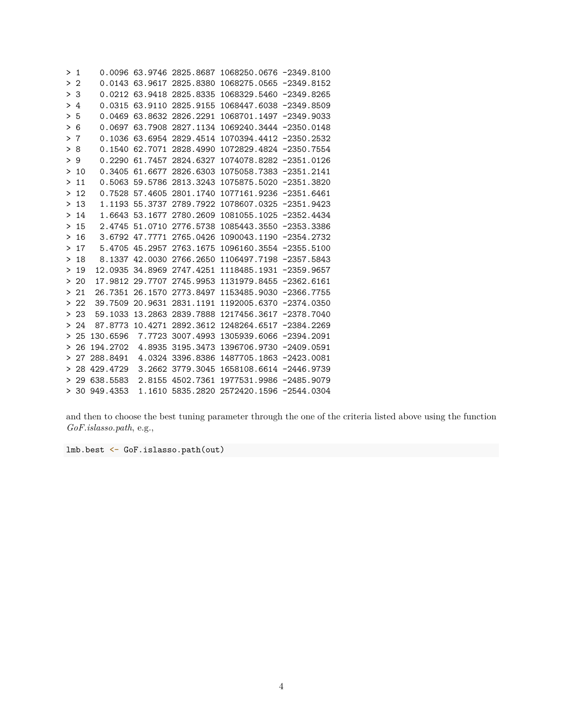| >1     |      |                 |                 |                          | 0.0096 63.9746 2825.8687 1068250.0676 -2349.8100 |  |
|--------|------|-----------------|-----------------|--------------------------|--------------------------------------------------|--|
|        | >2   |                 |                 | 0.0143 63.9617 2825.8380 | 1068275.0565 -2349.8152                          |  |
|        | > 3  |                 |                 | 0.0212 63.9418 2825.8335 | 1068329.5460 -2349.8265                          |  |
|        | >4   |                 |                 | 0.0315 63.9110 2825.9155 | 1068447.6038 -2349.8509                          |  |
| ≻      | 5    |                 |                 | 0.0469 63.8632 2826.2291 | 1068701.1497 -2349.9033                          |  |
|        | > 6  |                 |                 | 0.0697 63.7908 2827.1134 | 1069240.3444 -2350.0148                          |  |
| >      | 7    |                 |                 | 0.1036 63.6954 2829.4514 | 1070394.4412 -2350.2532                          |  |
| ≻      | 8    |                 | 0.1540 62.7071  | 2828.4990                | 1072829.4824 -2350.7554                          |  |
|        | >9   |                 |                 | 0.2290 61.7457 2824.6327 | 1074078.8282 -2351.0126                          |  |
|        | >10  |                 |                 | 0.3405 61.6677 2826.6303 | 1075058.7383 -2351.2141                          |  |
| ≻      | 11   |                 |                 | 0.5063 59.5786 2813.3243 | 1075875.5020 -2351.3820                          |  |
|        | >12  |                 | 0.7528 57.4605  | 2801.1740                | 1077161.9236 -2351.6461                          |  |
| ≻      | 13   |                 | 1.1193 55.3737  | 2789.7922                | 1078607.0325 -2351.9423                          |  |
| $\geq$ | 14   |                 |                 | 1.6643 53.1677 2780.2609 | 1081055.1025 -2352.4434                          |  |
| >      | 15   |                 | 2.4745 51.0710  | 2776.5738                | 1085443.3550 -2353.3386                          |  |
| ≻      | 16   |                 | 3.6792 47.7771  | 2765.0426                | 1090043.1190 -2354.2732                          |  |
| ≻      | 17   |                 | 5.4705 45.2957  | 2763.1675                | 1096160.3554 -2355.5100                          |  |
| ≻      | 18   |                 |                 | 8.1337 42.0030 2766.2650 | 1106497.7198 -2357.5843                          |  |
| >      | 19   |                 | 12.0935 34.8969 | 2747.4251                | 1118485.1931 -2359.9657                          |  |
|        | >20  |                 | 17.9812 29.7707 | 2745.9953                | 1131979.8455 -2362.6161                          |  |
| ≻      | -21  | 26.7351         | 26.1570         | 2773.8497                | 1153485.9030 -2366.7755                          |  |
|        | > 22 |                 | 39.7509 20.9631 | 2831.1191                | 1192005.6370 -2374.0350                          |  |
| ⋗      | 23   | 59.1033         | 13.2863         | 2839.7888                | 1217456.3617 -2378.7040                          |  |
|        | > 24 | 87.8773         | 10.4271         | 2892.3612                | 1248264.6517 -2384.2269                          |  |
| ≻      | 25   | 130.6596        | 7.7723          | 3007.4993                | 1305939.6066 -2394.2091                          |  |
| ≻      | 26   | 194.2702        |                 | 4.8935 3195.3473         | 1396706.9730 -2409.0591                          |  |
| >      | 27   | 288.8491        |                 | 4.0324 3396.8386         | 1487705.1863 -2423.0081                          |  |
| ≻      |      | 28 429.4729     |                 | 3.2662 3779.3045         | 1658108.6614 -2446.9739                          |  |
| ≻      |      | 29 638.5583     |                 | 2.8155 4502.7361         | 1977531.9986 -2485.9079                          |  |
|        |      | $> 30$ 949.4353 |                 |                          | 1.1610 5835.2820 2572420.1596 -2544.0304         |  |

and then to choose the best tuning parameter through the one of the criteria listed above using the function *GoF.islasso.path*, e.g.,

lmb.best <- GoF.islasso.path(out)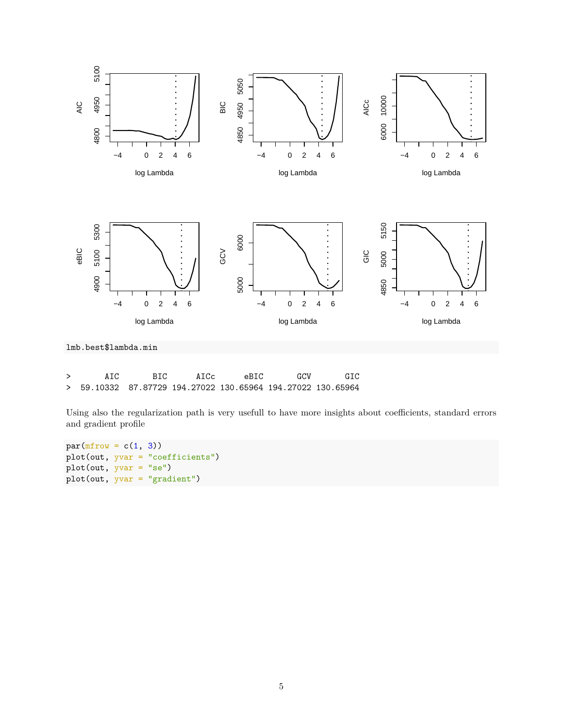

lmb.best\$lambda.min

| A T.C. | BTC. | AICc | eBTC                                                        | GCV | GIC |
|--------|------|------|-------------------------------------------------------------|-----|-----|
|        |      |      | > 59.10332 87.87729 194.27022 130.65964 194.27022 130.65964 |     |     |

Using also the regularization path is very usefull to have more insights about coefficients, standard errors and gradient profile

```
par(mfrow = c(1, 3))plot(out, yvar = "coefficients")
plot(out, yvar = "se")
plot(out, yvar = "gradient")
```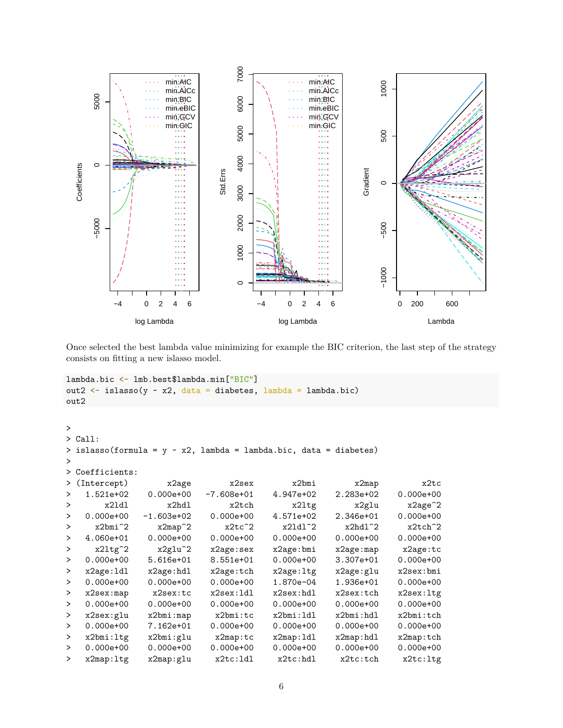

Once selected the best lambda value minimizing for example the BIC criterion, the last step of the strategy consists on fitting a new islasso model.

```
lambda.bic <- lmb.best$lambda.min["BIC"]
out2 \leftarrow islasso(y \sim x2, data = diabetes, lambda = lambda.bic)
out2
>
> Call:
> islasso(formula = y \sim x2, lambda = lambda.bic, data = diabetes)
>
> Coefficients:
> (Intercept) x2age x2sex x2bmi x2map x2tc
> 1.521e+02 0.000e+00 -7.608e+01 4.947e+02 2.283e+02 0.000e+00
> x2ldl x2hdl x2tch x2ltg x2glu x2age^2
> 0.000e+00 -1.603e+02 0.000e+00 4.571e+02 2.346e+01 0.000e+00
> x2bmi^2 x2map^2 x2tc^2 x2ldl^2 x2hdl^2 x2tch^2
> 4.060e+01 0.000e+00 0.000e+00 0.000e+00 0.000e+00 0.000e+00
> x2ltg^2 x2glu^2 x2age:sex x2age:bmi x2age:map x2age:tc
> 0.000e+00 5.616e+01 8.551e+01 0.000e+00 3.307e+01 0.000e+00
> x2age:ldl x2age:hdl x2age:tch x2age:ltg x2age:glu x2sex:bmi
> 0.000e+00 0.000e+00 0.000e+00 1.870e-04 1.936e+01 0.000e+00
> x2sex:map x2sex:tc x2sex:ldl x2sex:hdl x2sex:tch x2sex:ltg
> 0.000e+00 0.000e+00 0.000e+00 0.000e+00 0.000e+00 0.000e+00
> x2sex:glu x2bmi:map x2bmi:tc x2bmi:ldl x2bmi:hdl x2bmi:tch
> 0.000e+00 7.162e+01 0.000e+00 0.000e+00 0.000e+00 0.000e+00
> x2bmi:ltg x2bmi:glu x2map:tc x2map:ldl x2map:hdl x2map:tch
> 0.000e+00 0.000e+00 0.000e+00 0.000e+00 0.000e+00 0.000e+00
> x2map:ltg x2map:glu x2tc:ldl x2tc:hdl x2tc:tch x2tc:ltg
```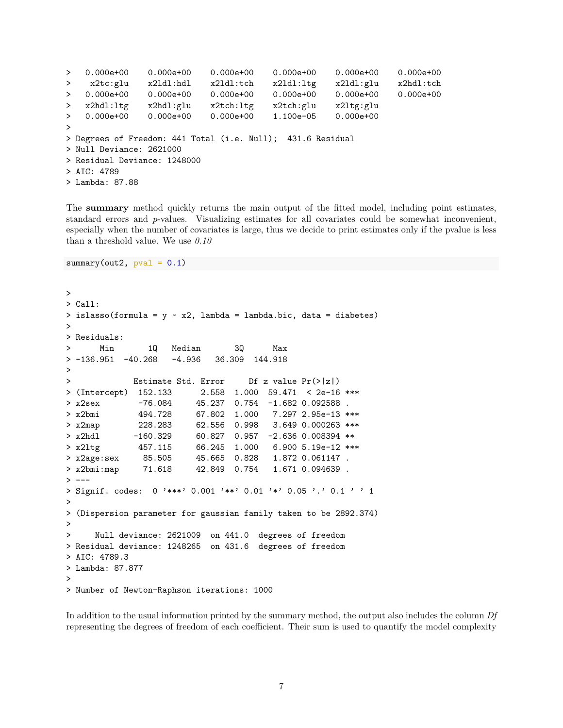```
> 0.000e+00 0.000e+00 0.000e+00 0.000e+00 0.000e+00 0.000e+00
> x2tc:glu x2ldl:hdl x2ldl:tch x2ldl:ltg x2ldl:glu x2hdl:tch
> 0.000e+00 0.000e+00 0.000e+00 0.000e+00 0.000e+00 0.000e+00
> x2hdl:ltg x2hdl:glu x2tch:ltg x2tch:glu x2ltg:glu
> 0.000e+00 0.000e+00 0.000e+00 1.100e-05 0.000e+00
>
> Degrees of Freedom: 441 Total (i.e. Null); 431.6 Residual
> Null Deviance: 2621000
> Residual Deviance: 1248000
> AIC: 4789
> Lambda: 87.88
```
The **summary** method quickly returns the main output of the fitted model, including point estimates, standard errors and *p*-values. Visualizing estimates for all covariates could be somewhat inconvenient, especially when the number of covariates is large, thus we decide to print estimates only if the pvalue is less than a threshold value. We use *0.10*

```
summary(out2, pval = 0.1)
```

```
>
> Call:
> islasso(formula = y \sim x2, lambda = lambda.bic, data = diabetes)
>
> Residuals:
> Min 1Q Median 3Q Max
> -136.951 -40.268 -4.936 36.309 144.918
>
> Estimate Std. Error Df z value Pr(>|z|)
> (Intercept) 152.133 2.558 1.000 59.471 < 2e-16 ***
> x2sex -76.084 45.237 0.754 -1.682 0.092588 .
> x2bmi 494.728 67.802 1.000 7.297 2.95e-13 ***
> x2map 228.283 62.556 0.998 3.649 0.000263 ***
> x2hdl -160.329 60.827 0.957 -2.636 0.008394 **
> x2ltg 457.115 66.245 1.000 6.900 5.19e-12 ***
> x2age:sex 85.505 45.665 0.828 1.872 0.061147 .
> x2bmi:map 71.618 42.849 0.754 1.671 0.094639 .
> ---
> Signif. codes: 0 '***' 0.001 '**' 0.01 '*' 0.05 '.' 0.1 ' ' 1
>
> (Dispersion parameter for gaussian family taken to be 2892.374)
>
> Null deviance: 2621009 on 441.0 degrees of freedom
> Residual deviance: 1248265 on 431.6 degrees of freedom
> AIC: 4789.3
> Lambda: 87.877
>
> Number of Newton-Raphson iterations: 1000
```
In addition to the usual information printed by the summary method, the output also includes the column *Df* representing the degrees of freedom of each coefficient. Their sum is used to quantify the model complexity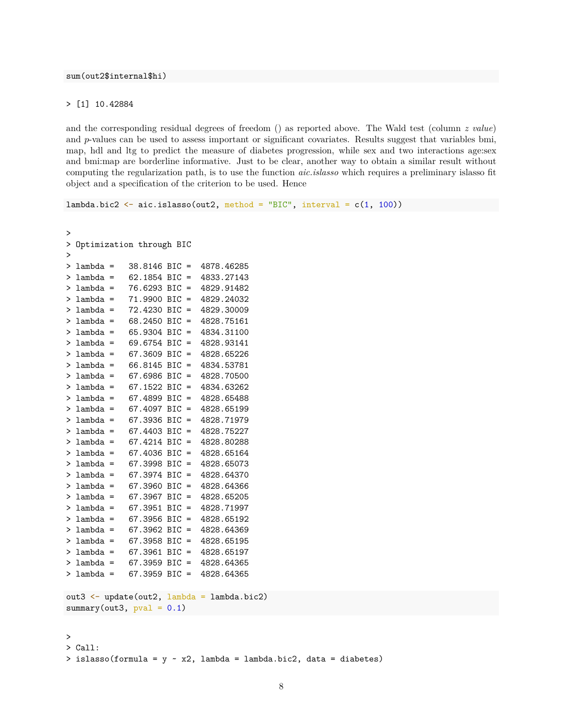sum(out2\$internal\$hi)

#### > [1] 10.42884

and the corresponding residual degrees of freedom () as reported above. The Wald test (column *z value*) and *p*-values can be used to assess important or significant covariates. Results suggest that variables bmi, map, hdl and ltg to predict the measure of diabetes progression, while sex and two interactions age:sex and bmi:map are borderline informative. Just to be clear, another way to obtain a similar result without computing the regularization path, is to use the function *aic.islasso* which requires a preliminary islasso fit object and a specification of the criterion to be used. Hence

```
lambda.bic2 <- aic.islasso(out2, method = "BIC", interval = c(1, 100))
>
> Optimization through BIC
>
> lambda = 38.8146 BIC = 4878.46285
```

```
> lambda = 62.1854 BIC = 4833.27143
> lambda = 76.6293 BIC = 4829.91482
> lambda = 71.9900 BIC = 4829.24032
> lambda = 72.4230 BIC = 4829.30009
> lambda = 68.2450 BIC = 4828.75161
> lambda = 65.9304 BIC = 4834.31100
> lambda = 69.6754 BIC = 4828.93141
> lambda = 67.3609 BIC = 4828.65226
> lambda = 66.8145 BIC = 4834.53781
> lambda = 67.6986 BIC = 4828.70500
> lambda = 67.1522 BIC = 4834.63262
> lambda = 67.4899 BIC = 4828.65488
> lambda = 67.4097 BIC = 4828.65199
> lambda = 67.3936 BIC = 4828.71979
> lambda = 67.4403 BIC = 4828.75227
> lambda = 67.4214 BIC = 4828.80288
> lambda = 67.4036 BIC = 4828.65164
> lambda = 67.3998 BIC = 4828.65073
> lambda = 67.3974 BIC = 4828.64370
> lambda = 67.3960 BIC = 4828.64366
> lambda = 67.3967 BIC = 4828.65205
> lambda = 67.3951 BIC = 4828.71997
> lambda = 67.3956 BIC = 4828.65192
> lambda = 67.3962 BIC = 4828.64369
> lambda = 67.3958 BIC = 4828.65195
> lambda = 67.3961 BIC = 4828.65197
> lambda = 67.3959 BIC = 4828.64365
> lambda = 67.3959 BIC = 4828.64365
```

```
out3 <- update(out2, lambda = lambda.bic2)
summary(out3, pval = 0.1)
```
>

```
> Call:
> islasso(formula = y \sim x2, lambda = lambda.bic2, data = diabetes)
```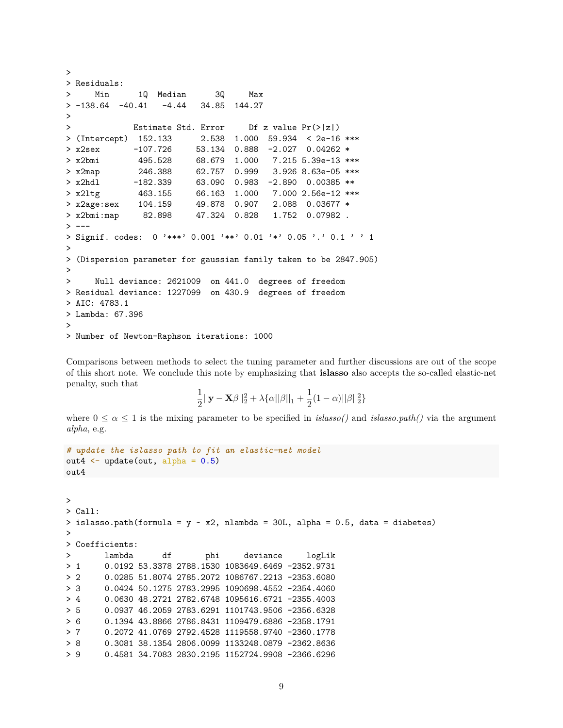```
>
> Residuals:
> Min 1Q Median 3Q Max
> -138.64 -40.41 -4.44 34.85 144.27
>
> Estimate Std. Error Df z value Pr(>|z|)
> (Intercept) 152.133 2.538 1.000 59.934 < 2e-16 ***
> x2sex -107.726 53.134 0.888 -2.027 0.04262 *
> x2bmi 495.528 68.679 1.000 7.215 5.39e-13 ***
> x2map 246.388 62.757 0.999 3.926 8.63e-05 ***
> x2hdl -182.339 63.090 0.983 -2.890 0.00385 **
> x2ltg 463.155 66.163 1.000 7.000 2.56e-12 ***
> x2age:sex 104.159 49.878 0.907 2.088 0.03677 *
> x2bmi:map 82.898 47.324 0.828 1.752 0.07982 .
> ---> Signif. codes: 0 '***' 0.001 '**' 0.01 '*' 0.05 '.' 0.1 ' ' 1
>
> (Dispersion parameter for gaussian family taken to be 2847.905)
>
> Null deviance: 2621009 on 441.0 degrees of freedom
> Residual deviance: 1227099 on 430.9 degrees of freedom
> AIC: 4783.1
> Lambda: 67.396
>
> Number of Newton-Raphson iterations: 1000
```
Comparisons between methods to select the tuning parameter and further discussions are out of the scope of this short note. We conclude this note by emphasizing that **islasso** also accepts the so-called elastic-net penalty, such that

$$
\frac{1}{2}||\mathbf{y} - \mathbf{X}\beta||_2^2 + \lambda \{\alpha ||\beta||_1 + \frac{1}{2}(1-\alpha)||\beta||_2^2\}
$$

where  $0 \leq \alpha \leq 1$  is the mixing parameter to be specified in *islasso()* and *islasso.path()* via the argument *alpha*, e.g.

```
# update the islasso path to fit an elastic-net model
out4 \leftarrow update(out, alpha = 0.5)
out4
>
> Call:
> islasso.path(formula = y \sim x2, nlambda = 30L, alpha = 0.5, data = diabetes)
>
> Coefficients:
> lambda df phi deviance logLik
> 1 0.0192 53.3378 2788.1530 1083649.6469 -2352.9731
> 2 0.0285 51.8074 2785.2072 1086767.2213 -2353.6080
> 3 0.0424 50.1275 2783.2995 1090698.4552 -2354.4060
> 4 0.0630 48.2721 2782.6748 1095616.6721 -2355.4003
> 5 0.0937 46.2059 2783.6291 1101743.9506 -2356.6328
> 6 0.1394 43.8866 2786.8431 1109479.6886 -2358.1791
> 7 0.2072 41.0769 2792.4528 1119558.9740 -2360.1778
> 8 0.3081 38.1354 2806.0099 1133248.0879 -2362.8636
       > 9 0.4581 34.7083 2830.2195 1152724.9908 -2366.6296
```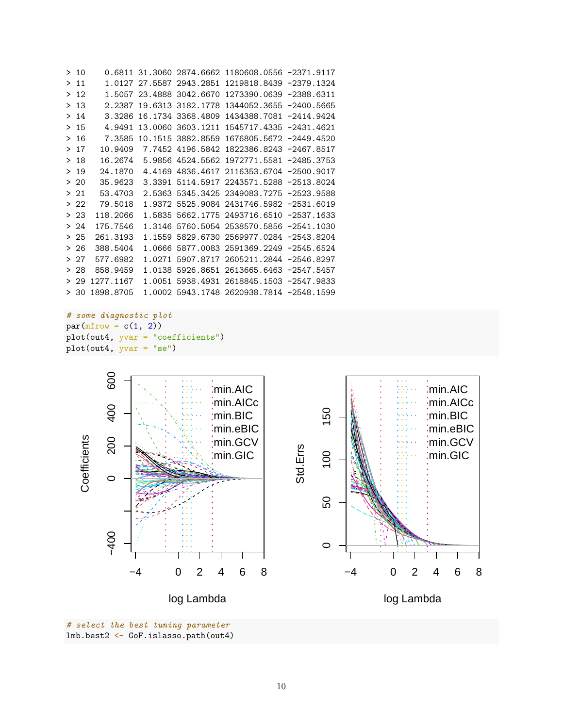| >10   |           |        |                          | 0.6811 31.3060 2874.6662 1180608.0556 -2371.9117 |  |
|-------|-----------|--------|--------------------------|--------------------------------------------------|--|
| >11   |           |        |                          | 1.0127 27.5587 2943.2851 1219818.8439 -2379.1324 |  |
| >12   |           |        | 1.5057 23.4888 3042.6670 | 1273390.0639 -2388.6311                          |  |
| >13   | 2.2387    |        | 19.6313 3182.1778        | 1344052.3655 -2400.5665                          |  |
| >14   | 3.3286    |        | 16.1734 3368.4809        | 1434388.7081 -2414.9424                          |  |
| >15   | 4.9491    |        | 13.0060 3603.1211        | 1545717.4335 -2431.4621                          |  |
| >16   | 7.3585    |        | 10.1515 3882.8559        | 1676805.5672 -2449.4520                          |  |
| >17   | 10.9409   |        |                          | 7.7452 4196.5842 1822386.8243 -2467.8517         |  |
| >18   | 16.2674   |        |                          | 5.9856 4524.5562 1972771.5581 -2485.3753         |  |
| >19   | 24.1870   | 4.4169 |                          | 4836.4617 2116353.6704 -2500.9017                |  |
| >20   | 35.9623   |        |                          | 3.3391 5114.5917 2243571.5288 -2513.8024         |  |
| >21   | 53.4703   |        |                          | 2.5363 5345.3425 2349083.7275 -2523.9588         |  |
| > 22  | 79.5018   |        |                          | 1.9372 5525.9084 2431746.5982 -2531.6019         |  |
| > 23  | 118.2066  | 1.5835 |                          | 5662.1775 2493716.6510 -2537.1633                |  |
| > 24  | 175.7546  | 1.3146 |                          | 5760.5054 2538570.5856 -2541.1030                |  |
| >25   | 261.3193  | 1.1559 |                          | 5829.6730 2569977.0284 -2543.8204                |  |
| > 26  | 388.5404  | 1.0666 |                          | 5877.0083 2591369.2249 -2545.6524                |  |
| > 27  | 577.6982  | 1.0271 |                          | 5907.8717 2605211.2844 -2546.8297                |  |
| $>28$ | 858.9459  | 1.0138 |                          | 5926.8651 2613665.6463 -2547.5457                |  |
| $>29$ | 1277.1167 | 1.0051 |                          | 5938.4931 2618845.1503 -2547.9833                |  |
| > 30  | 1898.8705 |        |                          | 1.0002 5943.1748 2620938.7814 -2548.1599         |  |

```
# some diagnostic plot
par(mfrow = c(1, 2))plot(out4, yvar = "coefficients")
plot(out4, yvar = "se")
```


*# select the best tuning parameter* lmb.best2 <- GoF.islasso.path(out4)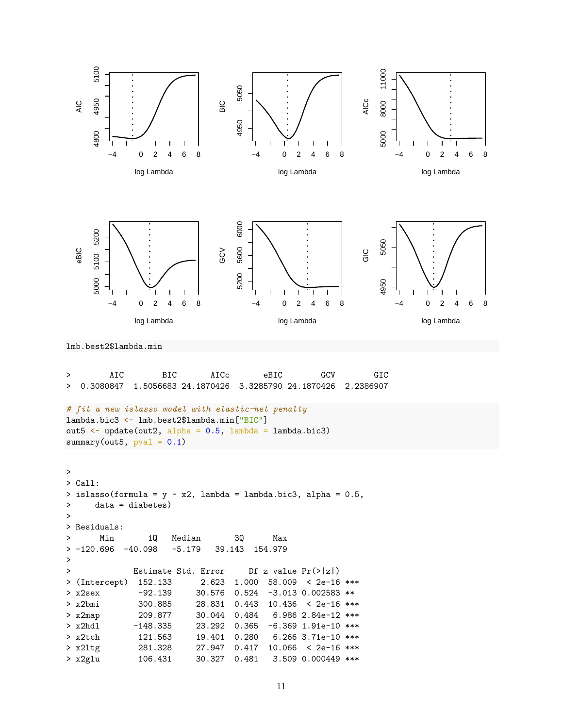

> AIC BIC AICc eBIC GCV GIC > 0.3080847 1.5056683 24.1870426 3.3285790 24.1870426 2.2386907 *# fit a new islasso model with elastic-net penalty* lambda.bic3 <- lmb.best2\$lambda.min["BIC"] out5  $\leftarrow$  update(out2, alpha = 0.5, lambda = lambda.bic3) summary(out5,  $pval = 0.1$ )

```
>
> Call:
> islasso(formula = y \sim x2, lambda = lambda.bic3, alpha = 0.5,
> data = diabetes)
\,>> Residuals:
> Min 1Q Median 3Q Max
> -120.696 -40.098 -5.179 39.143 154.979
>
> Estimate Std. Error Df z value Pr(>|z|)
> (Intercept) 152.133 2.623 1.000 58.009 < 2e-16 ***
> x2sex -92.139 30.576 0.524 -3.013 0.002583 **
> x2bmi 300.885 28.831 0.443 10.436 < 2e-16 ***
> x2map 209.877 30.044 0.484 6.986 2.84e-12 ***
> x2hdl -148.335 23.292 0.365 -6.369 1.91e-10 ***
> x2tch 121.563 19.401 0.280 6.266 3.71e-10 ***
> x2ltg 281.328 27.947 0.417 10.066 < 2e-16 ***
> x2glu 106.431 30.327 0.481 3.509 0.000449 ***
```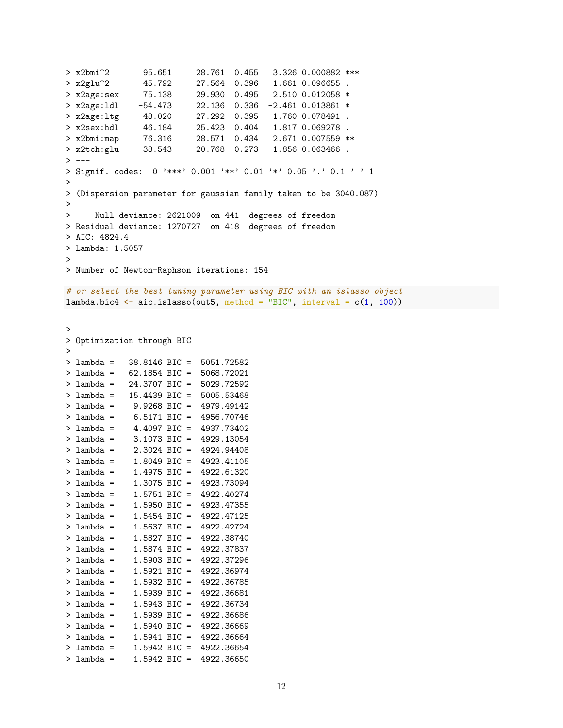```
> x2bmi^2 95.651 28.761 0.455 3.326 0.000882 ***
> x2glu^2 45.792 27.564 0.396 1.661 0.096655 .
> x2age:sex 75.138 29.930 0.495 2.510 0.012058 *
> x2age:ldl -54.473 22.136 0.336 -2.461 0.013861 *
> x2age:ltg 48.020 27.292 0.395 1.760 0.078491 .
> x2sex:hdl 46.184 25.423 0.404 1.817 0.069278 .
> x2bmi:map 76.316 28.571 0.434 2.671 0.007559 **
> x2tch:glu 38.543 20.768 0.273 1.856 0.063466 .
> ---
> Signif. codes: 0 '***' 0.001 '**' 0.01 '*' 0.05 '.' 0.1 ' ' 1
>
> (Dispersion parameter for gaussian family taken to be 3040.087)
>
> Null deviance: 2621009 on 441 degrees of freedom
> Residual deviance: 1270727 on 418 degrees of freedom
> AIC: 4824.4
> Lambda: 1.5057
>
> Number of Newton-Raphson iterations: 154
# or select the best tuning parameter using BIC with an islasso object
lambda.bic4 \leq aic.islasso(out5, method = "BIC", interval = c(1, 100))
>
> Optimization through BIC
>
> lambda = 38.8146 BIC = 5051.72582
> lambda = 62.1854 BIC = 5068.72021
> lambda = 24.3707 BIC = 5029.72592
> lambda = 15.4439 BIC = 5005.53468
> lambda = 9.9268 BIC = 4979.49142
> lambda = 6.5171 BIC = 4956.70746
> lambda = 4.4097 BIC = 4937.73402
> lambda = 3.1073 BIC = 4929.13054
> lambda = 2.3024 BIC = 4924.94408
> lambda = 1.8049 BIC = 4923.41105
> lambda = 1.4975 BIC = 4922.61320
> lambda = 1.3075 BIC = 4923.73094
> lambda = 1.5751 BIC = 4922.40274
> lambda = 1.5950 BIC = 4923.47355
> lambda = 1.5454 BIC = 4922.47125
> lambda = 1.5637 BIC = 4922.42724
> lambda = 1.5827 BIC = 4922.38740
> lambda = 1.5874 BIC = 4922.37837
> lambda = 1.5903 BIC = 4922.37296
> lambda = 1.5921 BIC = 4922.36974
> lambda = 1.5932 BIC = 4922.36785
> lambda = 1.5939 BIC = 4922.36681
> lambda = 1.5943 BIC = 4922.36734
> lambda = 1.5939 BIC = 4922.36686
> lambda = 1.5940 BIC = 4922.36669
> lambda = 1.5941 BIC = 4922.36664
> lambda = 1.5942 BIC = 4922.36654
> lambda = 1.5942 BIC = 4922.36650
```